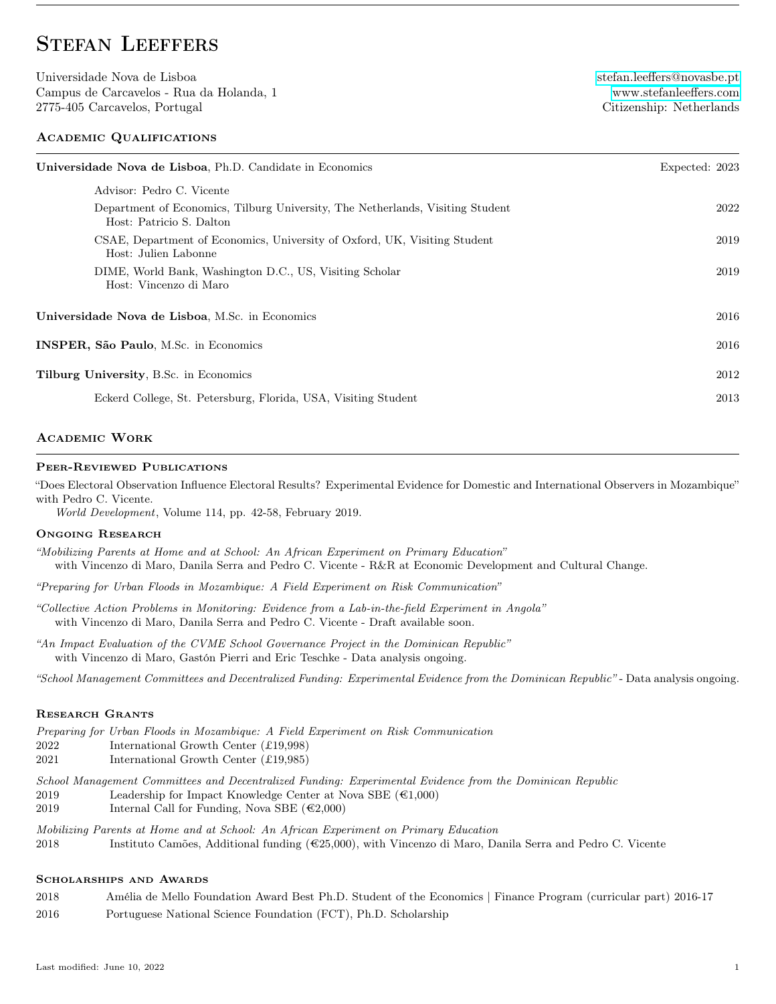# STEFAN LEEFFERS

Universidade Nova de Lisboa [stefan.leeffers@novasbe.pt](mailto:stefan.leeffers@novasbe.pt) Campus de Carcavelos - Rua da Holanda, 1 [www.stefanleeffers.com](https://www.stefanleeffers.com) 2775-405 Carcavelos, Portugal Citizenship: Netherlands

### Academic Qualifications

| Universidade Nova de Lisboa, Ph.D. Candidate in Economics<br>Expected: 2023                                |      |
|------------------------------------------------------------------------------------------------------------|------|
| Advisor: Pedro C. Vicente                                                                                  |      |
| Department of Economics, Tilburg University, The Netherlands, Visiting Student<br>Host: Patricio S. Dalton | 2022 |
| CSAE, Department of Economics, University of Oxford, UK, Visiting Student<br>Host: Julien Labonne          | 2019 |
| DIME, World Bank, Washington D.C., US, Visiting Scholar<br>Host: Vincenzo di Maro                          | 2019 |
| Universidade Nova de Lisboa, M.Sc. in Economics                                                            |      |
| <b>INSPER, São Paulo, M.S.c</b> in Economics                                                               |      |
| <b>Tilburg University, B.Sc. in Economics</b>                                                              | 2012 |
| Eckerd College, St. Petersburg, Florida, USA, Visiting Student                                             | 2013 |

### Academic Work

#### Peer-Reviewed Publications

"Does Electoral Observation Influence Electoral Results? Experimental Evidence for Domestic and International Observers in Mozambique" with Pedro C. Vicente.

World Development, Volume 114, pp. 42-58, February 2019.

#### Ongoing Research

"Mobilizing Parents at Home and at School: An African Experiment on Primary Education" with Vincenzo di Maro, Danila Serra and Pedro C. Vicente - R&R at Economic Development and Cultural Change.

"Preparing for Urban Floods in Mozambique: A Field Experiment on Risk Communication"

- "Collective Action Problems in Monitoring: Evidence from a Lab-in-the-field Experiment in Angola" with Vincenzo di Maro, Danila Serra and Pedro C. Vicente - Draft available soon.
- "An Impact Evaluation of the CVME School Governance Project in the Dominican Republic" with Vincenzo di Maro, Gastón Pierri and Eric Teschke - Data analysis ongoing.

"School Management Committees and Decentralized Funding: Experimental Evidence from the Dominican Republic" - Data analysis ongoing.

#### Research Grants

- Preparing for Urban Floods in Mozambique: A Field Experiment on Risk Communication
- 2022 International Growth Center (£19,998)
- 2021 International Growth Center (£19,985)

School Management Committees and Decentralized Funding: Experimental Evidence from the Dominican Republic

2019 Leadership for Impact Knowledge Center at Nova SBE  $(\text{\textcircled{1}},000)$ 

2019 Internal Call for Funding, Nova SBE  $(\text{\textcircled{\texttt{2}}},000)$ 

Mobilizing Parents at Home and at School: An African Experiment on Primary Education 2018 Instituto Camões, Additional funding (€25,000), with Vincenzo di Maro, Danila Serra and Pedro C. Vicente

### Scholarships and Awards

- 2018 Amélia de Mello Foundation Award Best Ph.D. Student of the Economics | Finance Program (curricular part) 2016-17
- 2016 Portuguese National Science Foundation (FCT), Ph.D. Scholarship